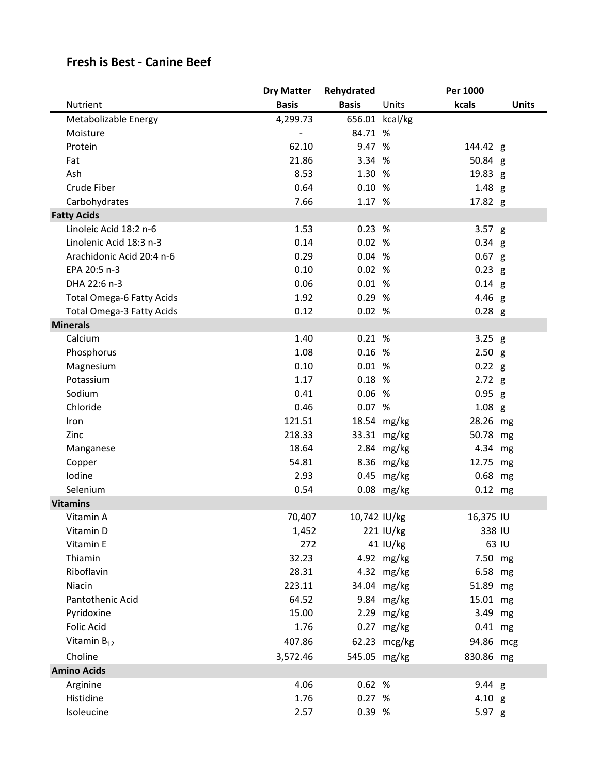## **Fresh is Best - Canine Beef**

|                                  | <b>Dry Matter</b> | Rehydrated   |                | Per 1000  |              |
|----------------------------------|-------------------|--------------|----------------|-----------|--------------|
| Nutrient                         | <b>Basis</b>      | <b>Basis</b> | Units          | kcals     | <b>Units</b> |
| Metabolizable Energy             | 4,299.73          |              | 656.01 kcal/kg |           |              |
| Moisture                         |                   | 84.71 %      |                |           |              |
| Protein                          | 62.10             | 9.47 %       |                | 144.42 g  |              |
| Fat                              | 21.86             | 3.34 %       |                | 50.84 g   |              |
| Ash                              | 8.53              | 1.30 %       |                | 19.83 g   |              |
| Crude Fiber                      | 0.64              | 0.10%        |                | $1.48$ g  |              |
| Carbohydrates                    | 7.66              | 1.17 %       |                | 17.82 g   |              |
| <b>Fatty Acids</b>               |                   |              |                |           |              |
| Linoleic Acid 18:2 n-6           | 1.53              | 0.23%        |                | $3.57$ g  |              |
| Linolenic Acid 18:3 n-3          | 0.14              | 0.02%        |                | $0.34$ g  |              |
| Arachidonic Acid 20:4 n-6        | 0.29              | 0.04%        |                | $0.67$ g  |              |
| EPA 20:5 n-3                     | 0.10              | 0.02%        |                | $0.23$ g  |              |
| DHA 22:6 n-3                     | 0.06              | 0.01%        |                | $0.14$ g  |              |
| <b>Total Omega-6 Fatty Acids</b> | 1.92              | 0.29 %       |                | 4.46 g    |              |
| Total Omega-3 Fatty Acids        | 0.12              | 0.02%        |                | $0.28$ g  |              |
| <b>Minerals</b>                  |                   |              |                |           |              |
| Calcium                          | 1.40              | 0.21%        |                | $3.25$ g  |              |
| Phosphorus                       | 1.08              | 0.16%        |                | 2.50 g    |              |
| Magnesium                        | 0.10              | 0.01%        |                | $0.22$ g  |              |
| Potassium                        | 1.17              | 0.18%        |                | 2.72 g    |              |
| Sodium                           | 0.41              | 0.06%        |                | $0.95$ g  |              |
| Chloride                         | 0.46              | 0.07 %       |                | $1.08$ g  |              |
| Iron                             | 121.51            |              | 18.54 mg/kg    | 28.26 mg  |              |
| Zinc                             | 218.33            |              | 33.31 mg/kg    | 50.78 mg  |              |
| Manganese                        | 18.64             |              | 2.84 mg/kg     | 4.34 mg   |              |
| Copper                           | 54.81             |              | 8.36 mg/kg     | 12.75 mg  |              |
| Iodine                           | 2.93              |              | $0.45$ mg/kg   | 0.68 mg   |              |
| Selenium                         | 0.54              |              | 0.08 mg/kg     | $0.12$ mg |              |
| <b>Vitamins</b>                  |                   |              |                |           |              |
| Vitamin A                        | 70,407            | 10,742 IU/kg |                | 16,375 IU |              |
| Vitamin D                        | 1,452             |              | 221 IU/kg      | 338 IU    |              |
| Vitamin E                        | 272               |              | 41 IU/kg       |           | 63 IU        |
| Thiamin                          | 32.23             |              | 4.92 mg/kg     | 7.50 mg   |              |
| Riboflavin                       | 28.31             |              | 4.32 mg/kg     | 6.58 mg   |              |
| Niacin                           | 223.11            |              | 34.04 mg/kg    | 51.89 mg  |              |
| Pantothenic Acid                 | 64.52             |              | 9.84 mg/kg     | 15.01 mg  |              |
| Pyridoxine                       | 15.00             |              | 2.29 mg/kg     | 3.49 mg   |              |
| Folic Acid                       | 1.76              |              | $0.27$ mg/kg   | 0.41 mg   |              |
| Vitamin $B_{12}$                 | 407.86            |              | 62.23 mcg/kg   | 94.86 mcg |              |
| Choline                          | 3,572.46          | 545.05 mg/kg |                | 830.86 mg |              |
| <b>Amino Acids</b>               |                   |              |                |           |              |
| Arginine                         | 4.06              | 0.62%        |                | 9.44 g    |              |
| Histidine                        | 1.76              | 0.27 %       |                | 4.10 g    |              |
| Isoleucine                       | 2.57              | 0.39 %       |                | 5.97 g    |              |
|                                  |                   |              |                |           |              |